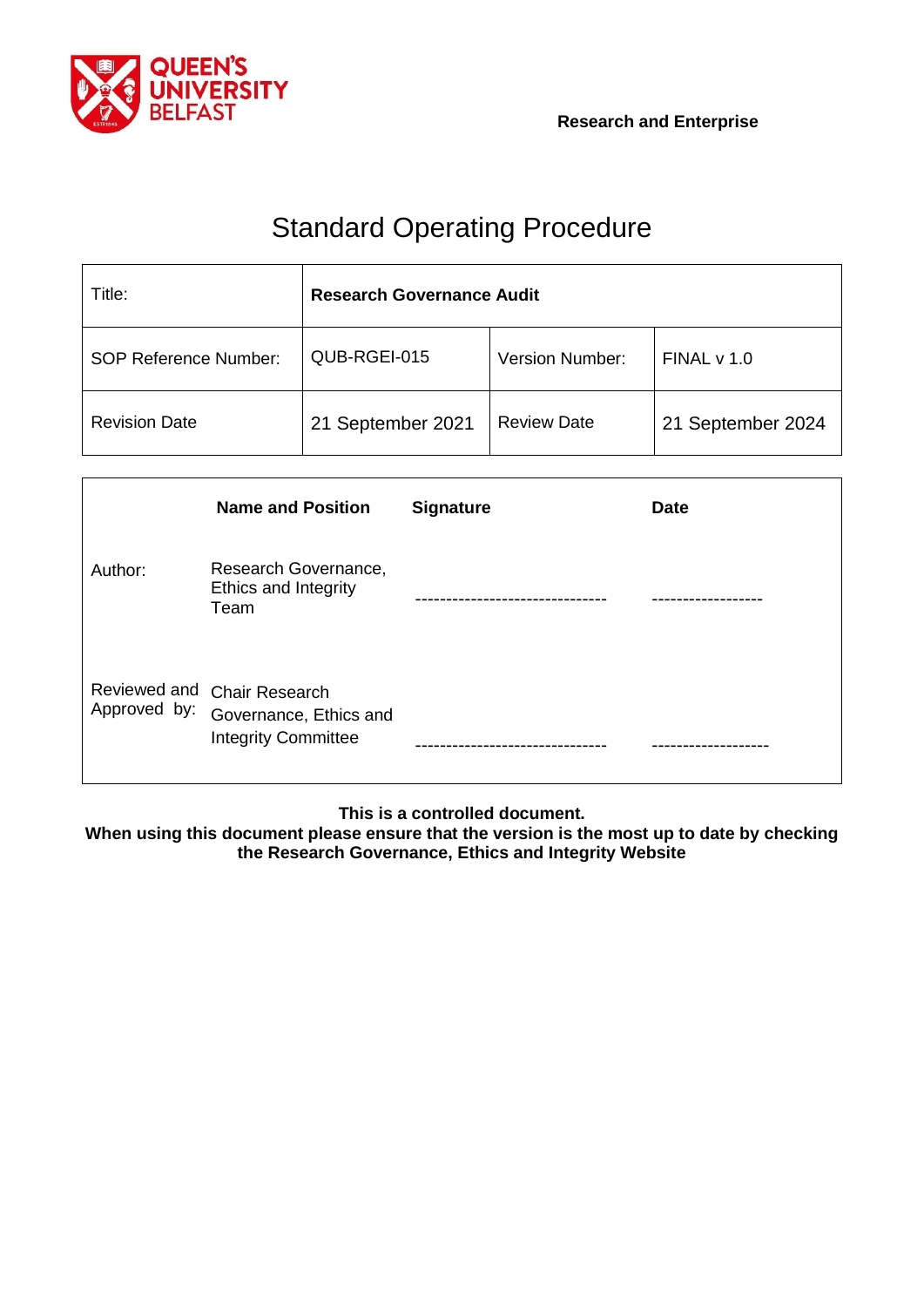

# Standard Operating Procedure

| Title:                       | <b>Research Governance Audit</b> |                        |                   |  |
|------------------------------|----------------------------------|------------------------|-------------------|--|
| <b>SOP Reference Number:</b> | QUB-RGEI-015                     | <b>Version Number:</b> | FINALV1.0         |  |
| <b>Revision Date</b>         | 21 September 2021                | <b>Review Date</b>     | 21 September 2024 |  |

|              | <b>Name and Position</b>                                                            | <b>Signature</b> | <b>Date</b> |
|--------------|-------------------------------------------------------------------------------------|------------------|-------------|
| Author:      | Research Governance,<br>Ethics and Integrity<br>Team                                |                  |             |
| Approved by: | Reviewed and Chair Research<br>Governance, Ethics and<br><b>Integrity Committee</b> |                  |             |

**This is a controlled document.**

**When using this document please ensure that the version is the most up to date by checking the Research Governance, Ethics and Integrity Website**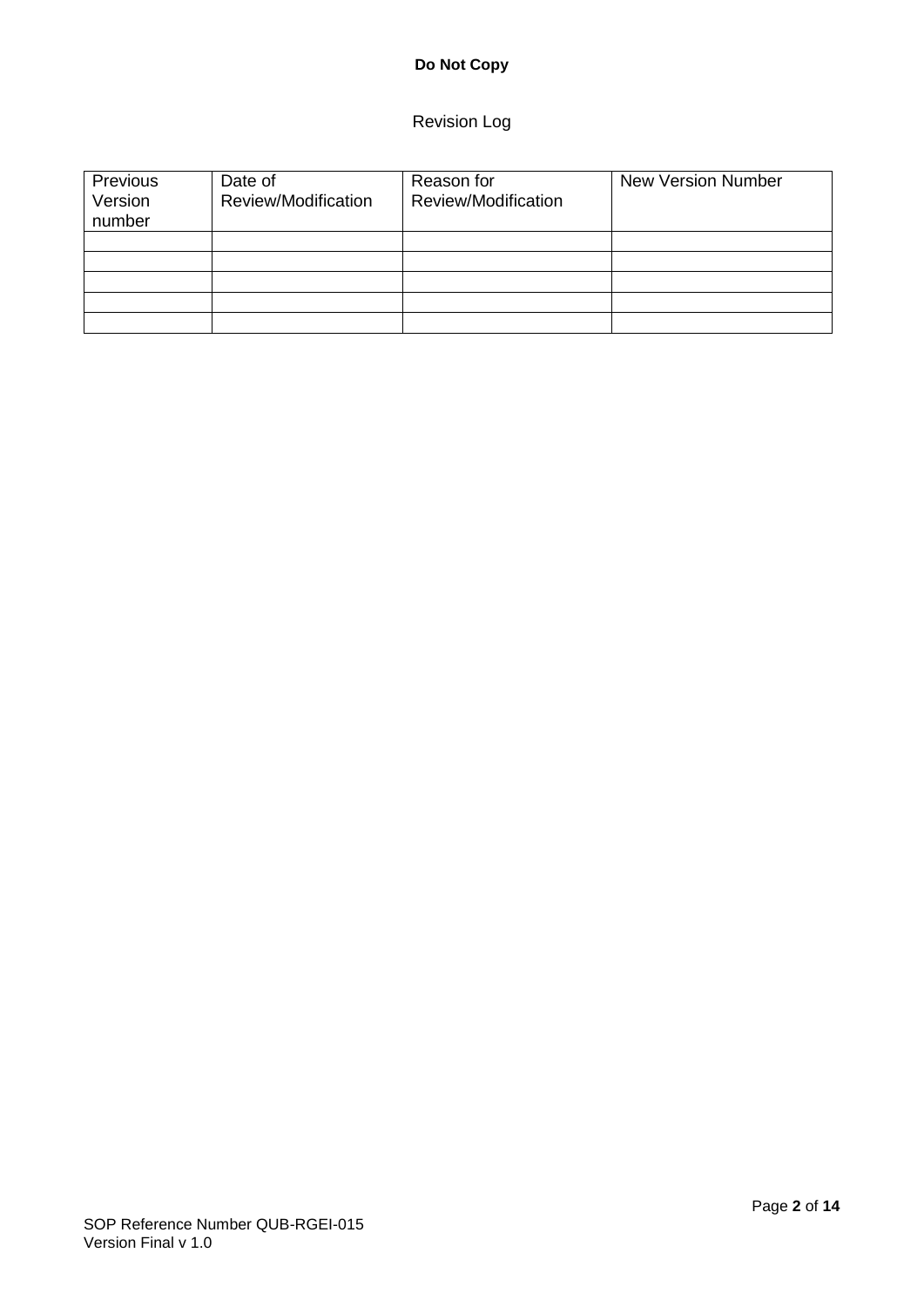# **Do Not Copy**

## Revision Log

| Previous<br>Version<br>number | Date of<br>Review/Modification | Reason for<br>Review/Modification | <b>New Version Number</b> |
|-------------------------------|--------------------------------|-----------------------------------|---------------------------|
|                               |                                |                                   |                           |
|                               |                                |                                   |                           |
|                               |                                |                                   |                           |
|                               |                                |                                   |                           |
|                               |                                |                                   |                           |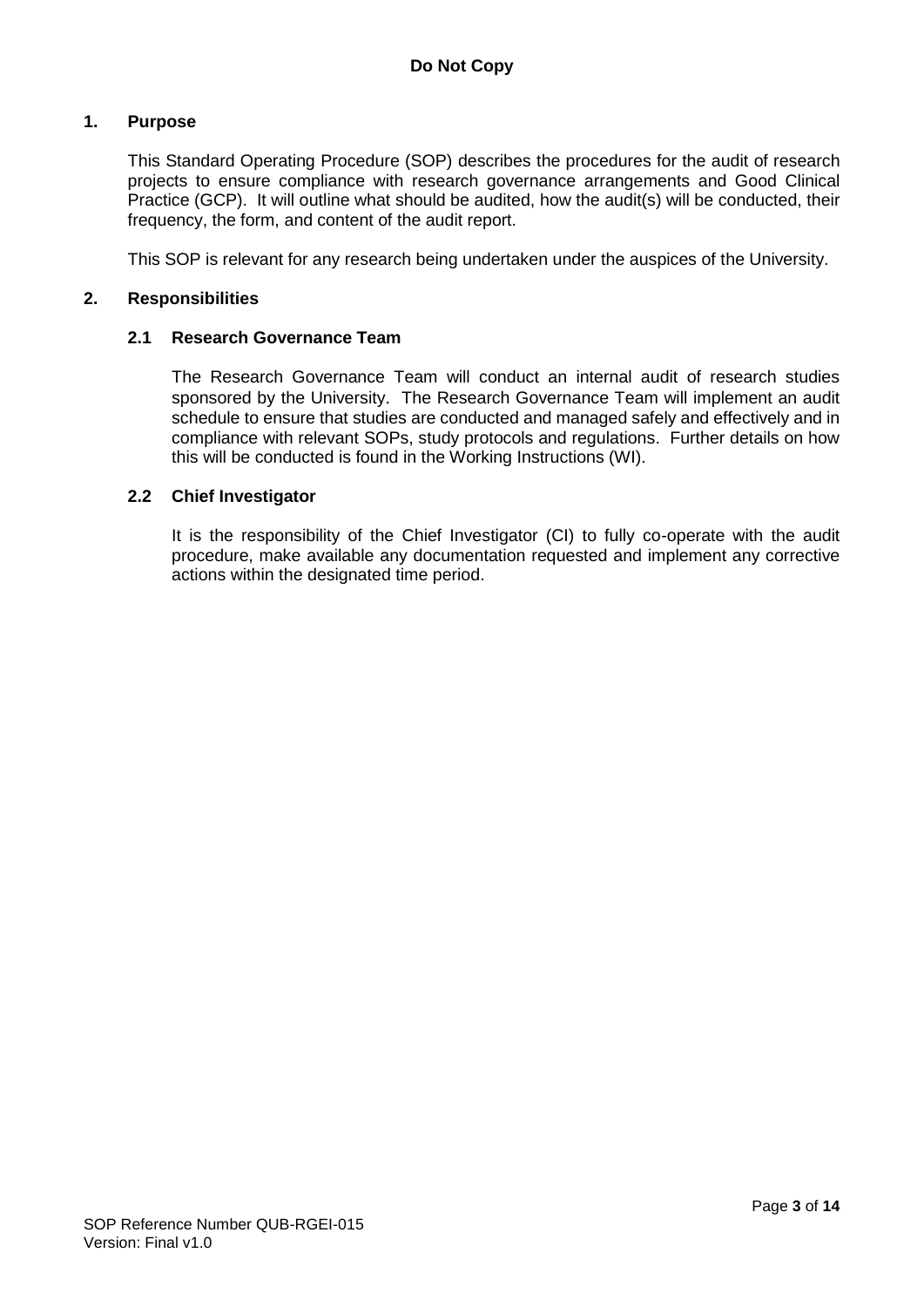#### **1. Purpose**

This Standard Operating Procedure (SOP) describes the procedures for the audit of research projects to ensure compliance with research governance arrangements and Good Clinical Practice (GCP). It will outline what should be audited, how the audit(s) will be conducted, their frequency, the form, and content of the audit report.

This SOP is relevant for any research being undertaken under the auspices of the University.

#### **2. Responsibilities**

#### **2.1 Research Governance Team**

The Research Governance Team will conduct an internal audit of research studies sponsored by the University. The Research Governance Team will implement an audit schedule to ensure that studies are conducted and managed safely and effectively and in compliance with relevant SOPs, study protocols and regulations. Further details on how this will be conducted is found in the Working Instructions (WI).

#### **2.2 Chief Investigator**

It is the responsibility of the Chief Investigator (CI) to fully co-operate with the audit procedure, make available any documentation requested and implement any corrective actions within the designated time period.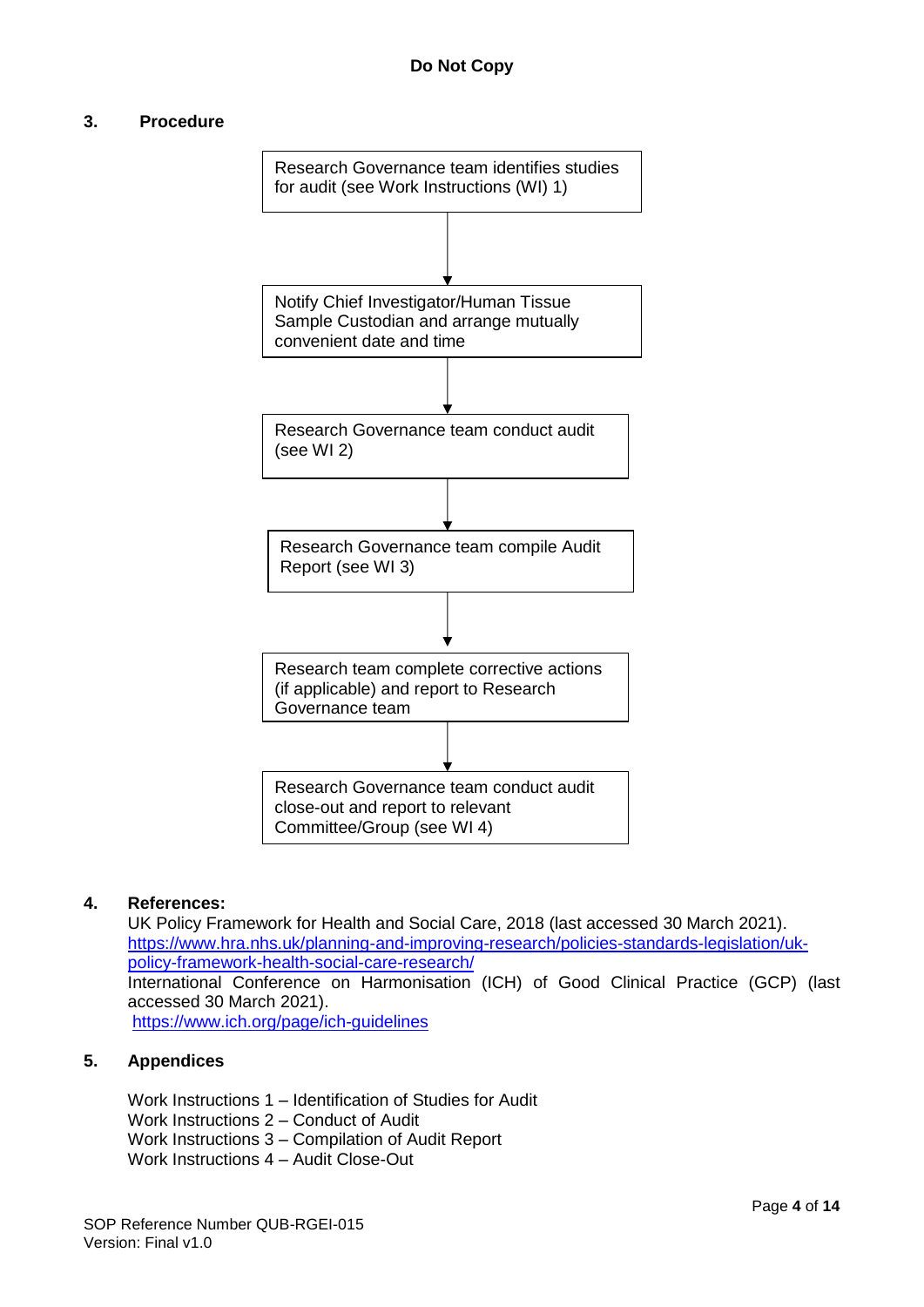#### **3. Procedure**



#### **4. References:**

UK Policy Framework for Health and Social Care, 2018 (last accessed 30 March 2021). [https://www.hra.nhs.uk/planning-and-improving-research/policies-standards-legislation/uk](https://www.hra.nhs.uk/planning-and-improving-research/policies-standards-legislation/uk-policy-framework-health-social-care-research/)[policy-framework-health-social-care-research/](https://www.hra.nhs.uk/planning-and-improving-research/policies-standards-legislation/uk-policy-framework-health-social-care-research/) International Conference on Harmonisation (ICH) of Good Clinical Practice (GCP) (last accessed 30 March 2021). <https://www.ich.org/page/ich-guidelines>

#### **5. Appendices**

Work Instructions 1 – Identification of Studies for Audit Work Instructions 2 – Conduct of Audit Work Instructions 3 – Compilation of Audit Report Work Instructions 4 – Audit Close-Out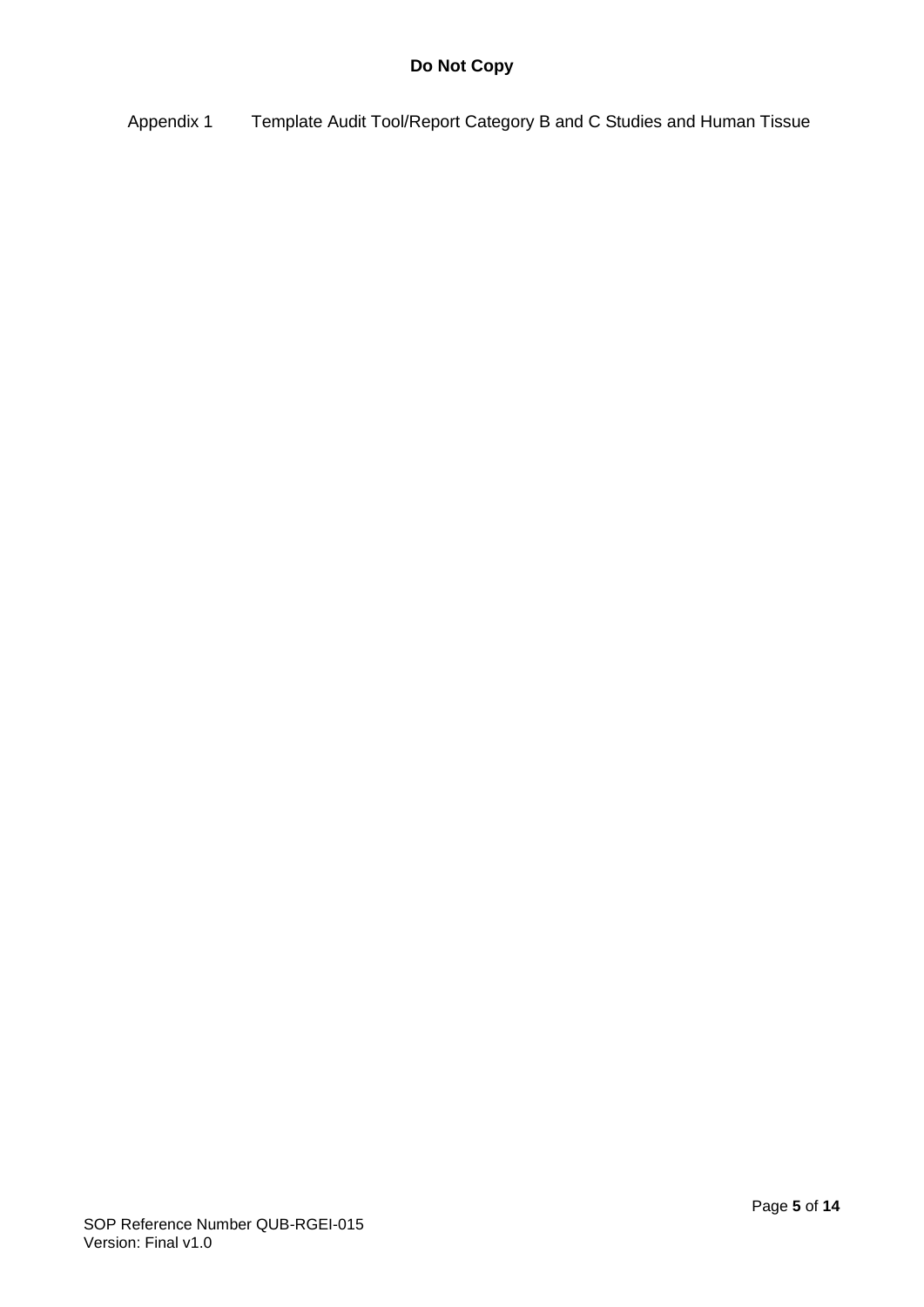Appendix 1 Template Audit Tool/Report Category B and C Studies and Human Tissue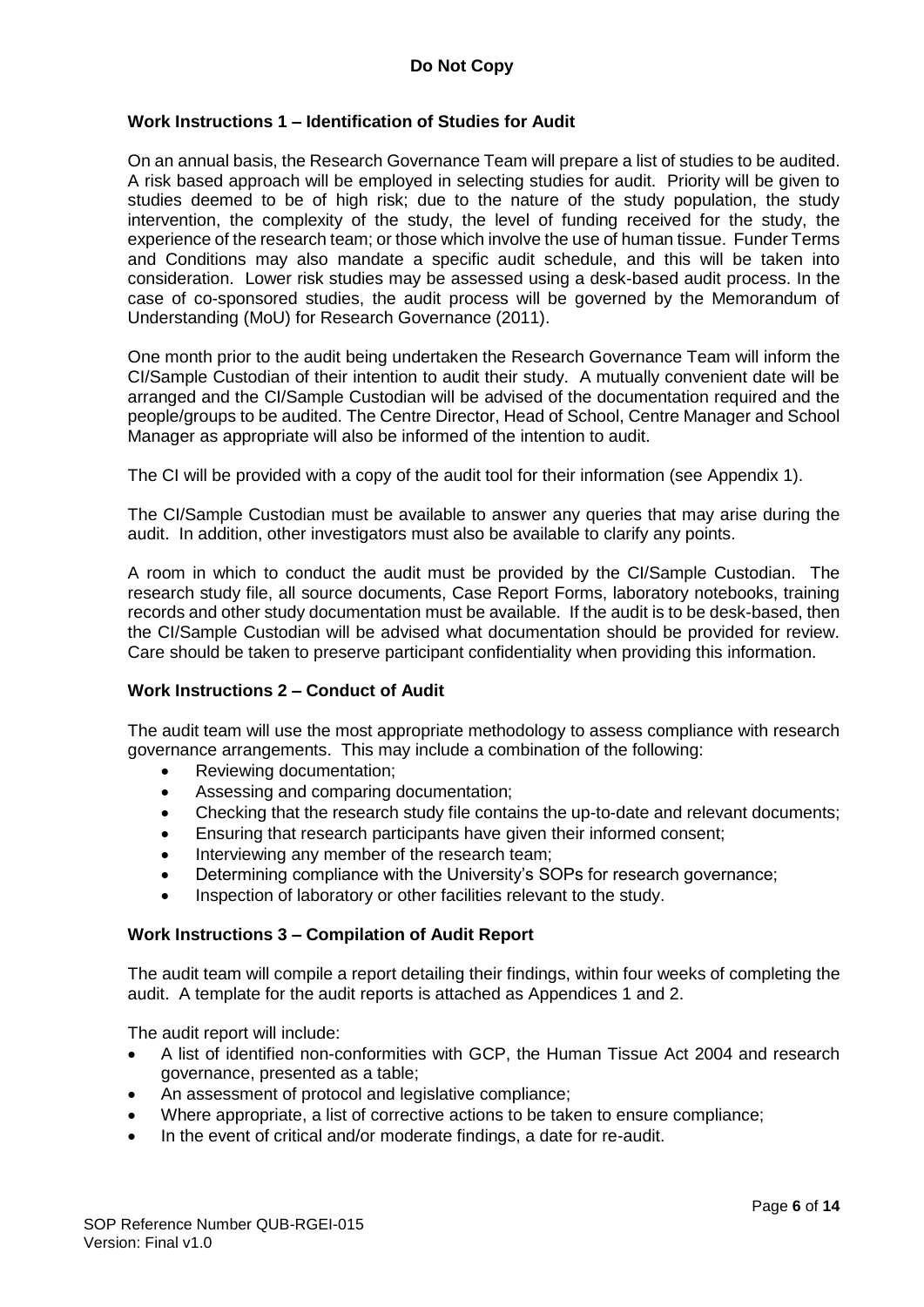#### **Work Instructions 1 – Identification of Studies for Audit**

On an annual basis, the Research Governance Team will prepare a list of studies to be audited. A risk based approach will be employed in selecting studies for audit. Priority will be given to studies deemed to be of high risk; due to the nature of the study population, the study intervention, the complexity of the study, the level of funding received for the study, the experience of the research team; or those which involve the use of human tissue. Funder Terms and Conditions may also mandate a specific audit schedule, and this will be taken into consideration. Lower risk studies may be assessed using a desk-based audit process. In the case of co-sponsored studies, the audit process will be governed by the Memorandum of Understanding (MoU) for Research Governance (2011).

One month prior to the audit being undertaken the Research Governance Team will inform the CI/Sample Custodian of their intention to audit their study. A mutually convenient date will be arranged and the CI/Sample Custodian will be advised of the documentation required and the people/groups to be audited. The Centre Director, Head of School, Centre Manager and School Manager as appropriate will also be informed of the intention to audit.

The CI will be provided with a copy of the audit tool for their information (see Appendix 1).

The CI/Sample Custodian must be available to answer any queries that may arise during the audit. In addition, other investigators must also be available to clarify any points.

A room in which to conduct the audit must be provided by the CI/Sample Custodian. The research study file, all source documents, Case Report Forms, laboratory notebooks, training records and other study documentation must be available. If the audit is to be desk-based, then the CI/Sample Custodian will be advised what documentation should be provided for review. Care should be taken to preserve participant confidentiality when providing this information.

#### **Work Instructions 2 – Conduct of Audit**

The audit team will use the most appropriate methodology to assess compliance with research governance arrangements. This may include a combination of the following:

- Reviewing documentation;
- Assessing and comparing documentation;
- Checking that the research study file contains the up-to-date and relevant documents;
- Ensuring that research participants have given their informed consent;
- Interviewing any member of the research team;
- Determining compliance with the University's SOPs for research governance;
- Inspection of laboratory or other facilities relevant to the study.

#### **Work Instructions 3 – Compilation of Audit Report**

The audit team will compile a report detailing their findings, within four weeks of completing the audit. A template for the audit reports is attached as Appendices 1 and 2.

The audit report will include:

- A list of identified non-conformities with GCP, the Human Tissue Act 2004 and research governance, presented as a table;
- An assessment of protocol and legislative compliance;
- Where appropriate, a list of corrective actions to be taken to ensure compliance:
- In the event of critical and/or moderate findings, a date for re-audit.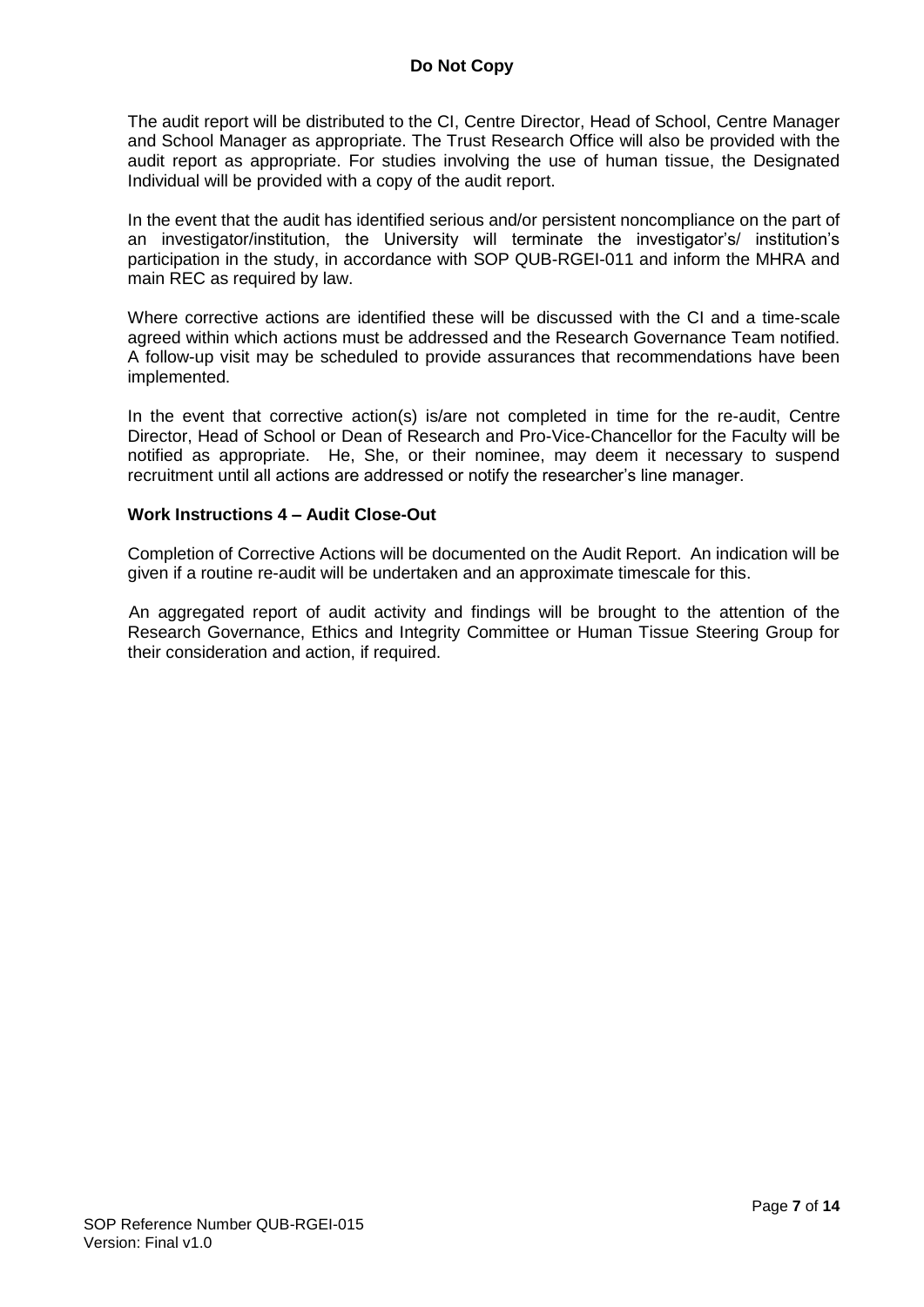The audit report will be distributed to the CI, Centre Director, Head of School, Centre Manager and School Manager as appropriate. The Trust Research Office will also be provided with the audit report as appropriate. For studies involving the use of human tissue, the Designated Individual will be provided with a copy of the audit report.

In the event that the audit has identified serious and/or persistent noncompliance on the part of an investigator/institution, the University will terminate the investigator's/ institution's participation in the study, in accordance with SOP QUB-RGEI-011 and inform the MHRA and main REC as required by law.

Where corrective actions are identified these will be discussed with the CI and a time-scale agreed within which actions must be addressed and the Research Governance Team notified. A follow-up visit may be scheduled to provide assurances that recommendations have been implemented.

In the event that corrective action(s) is/are not completed in time for the re-audit, Centre Director, Head of School or Dean of Research and Pro-Vice-Chancellor for the Faculty will be notified as appropriate. He, She, or their nominee, may deem it necessary to suspend recruitment until all actions are addressed or notify the researcher's line manager.

#### **Work Instructions 4 – Audit Close-Out**

Completion of Corrective Actions will be documented on the Audit Report. An indication will be given if a routine re-audit will be undertaken and an approximate timescale for this.

An aggregated report of audit activity and findings will be brought to the attention of the Research Governance, Ethics and Integrity Committee or Human Tissue Steering Group for their consideration and action, if required.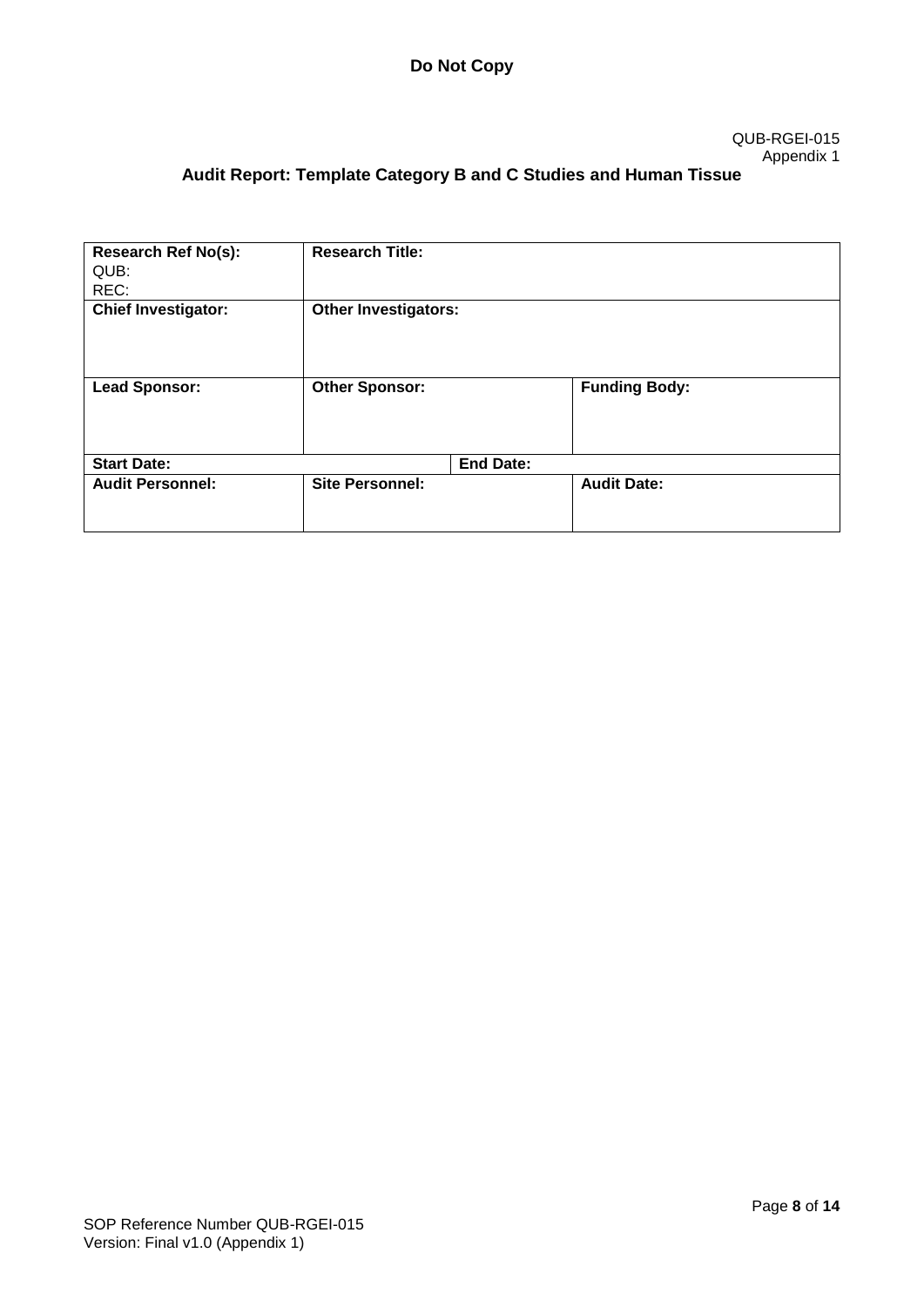#### QUB-RGEI-015 Appendix 1

# **Audit Report: Template Category B and C Studies and Human Tissue**

| <b>Research Ref No(s):</b><br>QUB:<br>REC: | <b>Research Title:</b>      |                  |                      |
|--------------------------------------------|-----------------------------|------------------|----------------------|
| <b>Chief Investigator:</b>                 | <b>Other Investigators:</b> |                  |                      |
| <b>Lead Sponsor:</b>                       | <b>Other Sponsor:</b>       |                  | <b>Funding Body:</b> |
| <b>Start Date:</b>                         |                             | <b>End Date:</b> |                      |
| <b>Audit Personnel:</b>                    | <b>Site Personnel:</b>      |                  | <b>Audit Date:</b>   |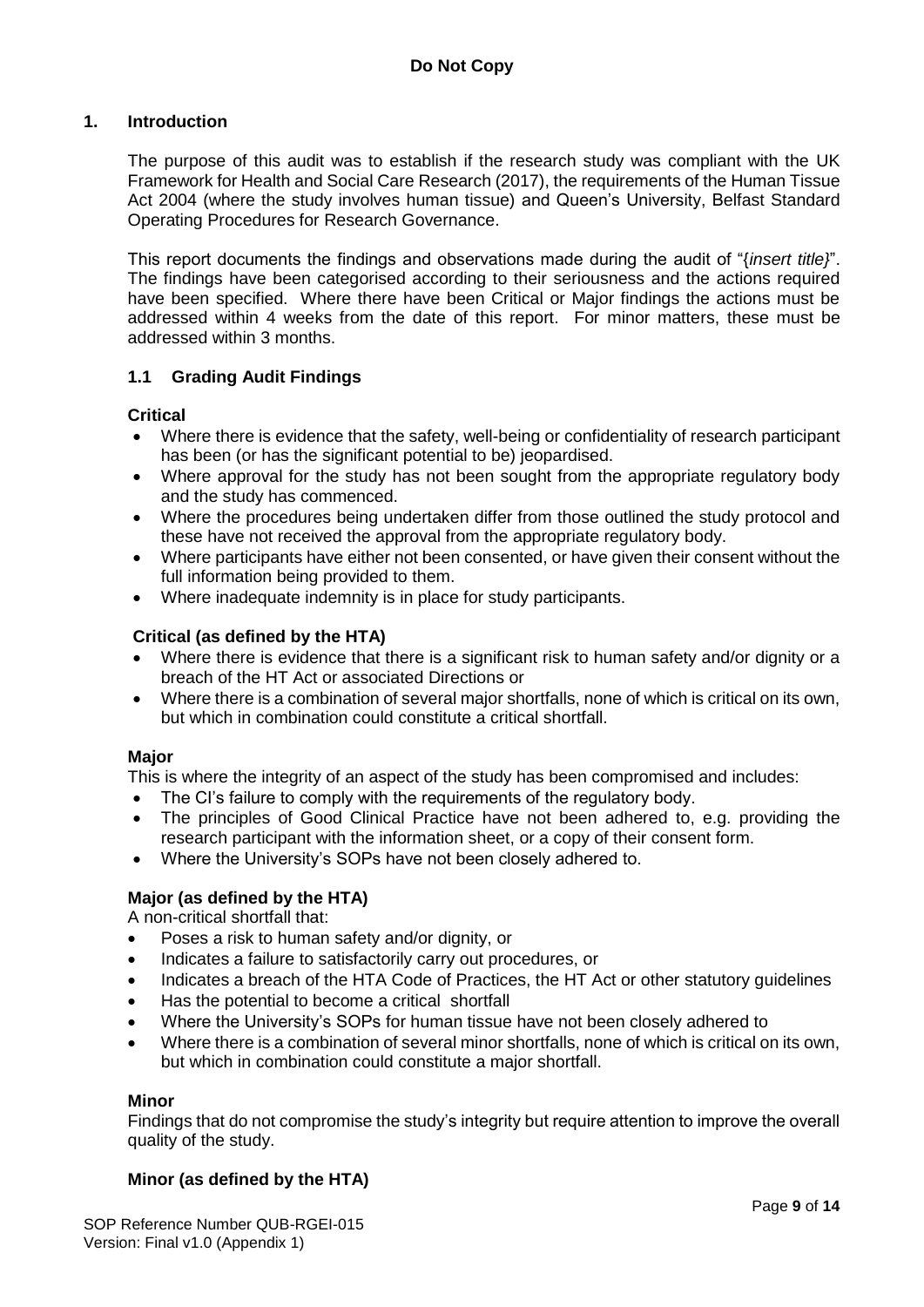#### **1. Introduction**

The purpose of this audit was to establish if the research study was compliant with the UK Framework for Health and Social Care Research (2017), the requirements of the Human Tissue Act 2004 (where the study involves human tissue) and Queen's University, Belfast Standard Operating Procedures for Research Governance.

This report documents the findings and observations made during the audit of "{*insert title}*". The findings have been categorised according to their seriousness and the actions required have been specified. Where there have been Critical or Major findings the actions must be addressed within 4 weeks from the date of this report. For minor matters, these must be addressed within 3 months.

#### **1.1 Grading Audit Findings**

**Critical**

- Where there is evidence that the safety, well-being or confidentiality of research participant has been (or has the significant potential to be) jeopardised.
- Where approval for the study has not been sought from the appropriate regulatory body and the study has commenced.
- Where the procedures being undertaken differ from those outlined the study protocol and these have not received the approval from the appropriate regulatory body.
- Where participants have either not been consented, or have given their consent without the full information being provided to them.
- Where inadequate indemnity is in place for study participants.

#### **Critical (as defined by the HTA)**

- Where there is evidence that there is a significant risk to human safety and/or dignity or a breach of the HT Act or associated Directions or
- Where there is a combination of several major shortfalls, none of which is critical on its own, but which in combination could constitute a critical shortfall.

#### **Major**

This is where the integrity of an aspect of the study has been compromised and includes:

- The CI's failure to comply with the requirements of the requiatory body.
- The principles of Good Clinical Practice have not been adhered to, e.g. providing the research participant with the information sheet, or a copy of their consent form.
- Where the University's SOPs have not been closely adhered to.

#### **Major (as defined by the HTA)**

A non-critical shortfall that:

- Poses a risk to human safety and/or dignity, or
- Indicates a failure to satisfactorily carry out procedures, or
- Indicates a breach of the HTA Code of Practices, the HT Act or other statutory guidelines
- Has the potential to become a critical shortfall
- Where the University's SOPs for human tissue have not been closely adhered to
- Where there is a combination of several minor shortfalls, none of which is critical on its own, but which in combination could constitute a major shortfall.

#### **Minor**

Findings that do not compromise the study's integrity but require attention to improve the overall quality of the study.

#### **Minor (as defined by the HTA)**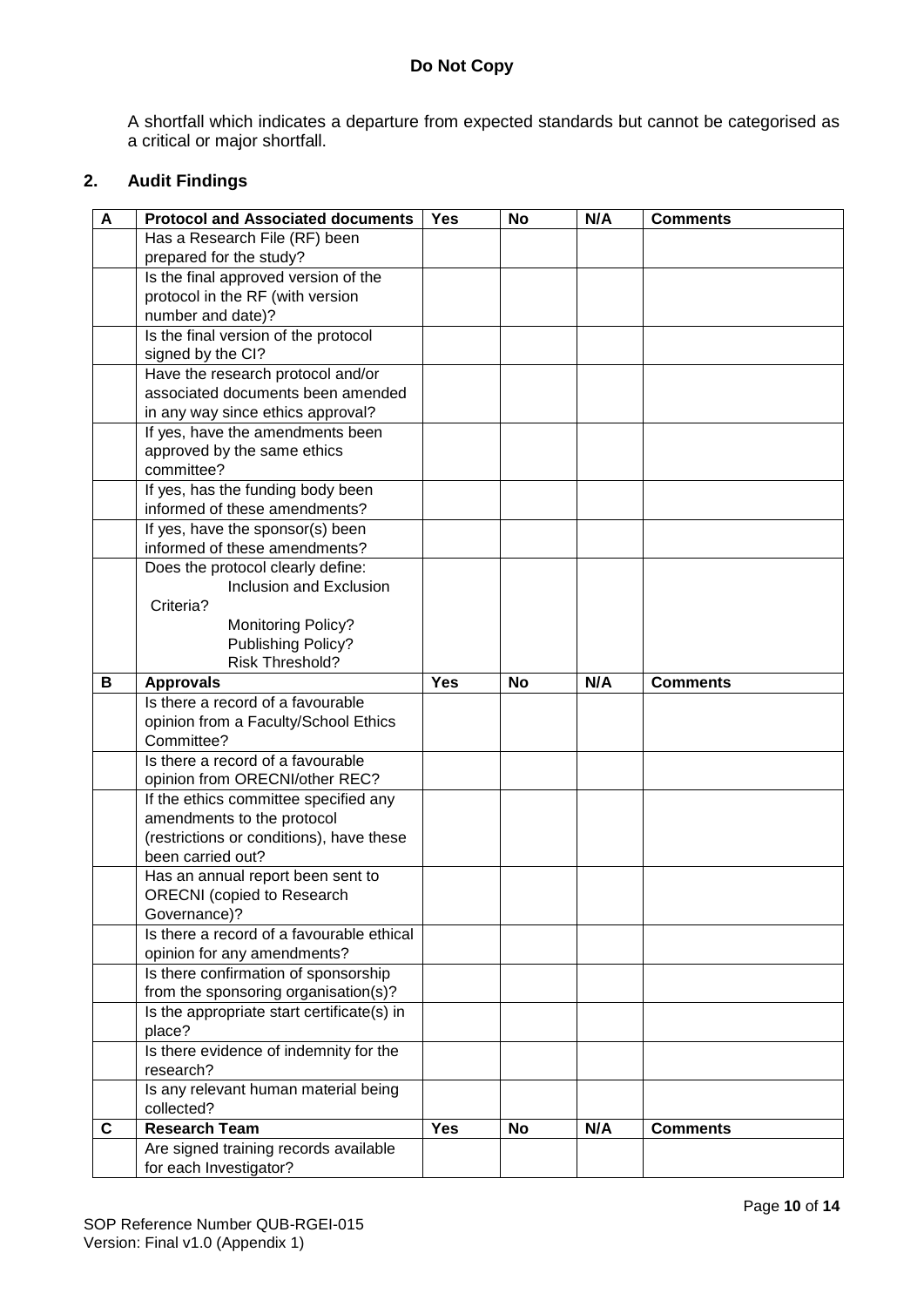A shortfall which indicates a departure from expected standards but cannot be categorised as a critical or major shortfall.

### **2. Audit Findings**

| A           | <b>Protocol and Associated documents</b>           | <b>Yes</b> | No        | N/A | <b>Comments</b> |
|-------------|----------------------------------------------------|------------|-----------|-----|-----------------|
|             | Has a Research File (RF) been                      |            |           |     |                 |
|             | prepared for the study?                            |            |           |     |                 |
|             | Is the final approved version of the               |            |           |     |                 |
|             | protocol in the RF (with version                   |            |           |     |                 |
|             | number and date)?                                  |            |           |     |                 |
|             | Is the final version of the protocol               |            |           |     |                 |
|             | signed by the CI?                                  |            |           |     |                 |
|             | Have the research protocol and/or                  |            |           |     |                 |
|             | associated documents been amended                  |            |           |     |                 |
|             | in any way since ethics approval?                  |            |           |     |                 |
|             | If yes, have the amendments been                   |            |           |     |                 |
|             | approved by the same ethics                        |            |           |     |                 |
|             | committee?                                         |            |           |     |                 |
|             | If yes, has the funding body been                  |            |           |     |                 |
|             | informed of these amendments?                      |            |           |     |                 |
|             | If yes, have the sponsor(s) been                   |            |           |     |                 |
|             | informed of these amendments?                      |            |           |     |                 |
|             | Does the protocol clearly define:                  |            |           |     |                 |
|             | Inclusion and Exclusion                            |            |           |     |                 |
|             | Criteria?                                          |            |           |     |                 |
|             | <b>Monitoring Policy?</b>                          |            |           |     |                 |
|             | Publishing Policy?                                 |            |           |     |                 |
|             | Risk Threshold?                                    |            |           |     |                 |
| B           | <b>Approvals</b>                                   | <b>Yes</b> | <b>No</b> | N/A | <b>Comments</b> |
|             | Is there a record of a favourable                  |            |           |     |                 |
|             | opinion from a Faculty/School Ethics<br>Committee? |            |           |     |                 |
|             | Is there a record of a favourable                  |            |           |     |                 |
|             | opinion from ORECNI/other REC?                     |            |           |     |                 |
|             | If the ethics committee specified any              |            |           |     |                 |
|             | amendments to the protocol                         |            |           |     |                 |
|             | (restrictions or conditions), have these           |            |           |     |                 |
|             | been carried out?                                  |            |           |     |                 |
|             | Has an annual report been sent to                  |            |           |     |                 |
|             | <b>ORECNI</b> (copied to Research                  |            |           |     |                 |
|             | Governance)?                                       |            |           |     |                 |
|             | Is there a record of a favourable ethical          |            |           |     |                 |
|             | opinion for any amendments?                        |            |           |     |                 |
|             | Is there confirmation of sponsorship               |            |           |     |                 |
|             | from the sponsoring organisation(s)?               |            |           |     |                 |
|             | Is the appropriate start certificate(s) in         |            |           |     |                 |
|             | place?                                             |            |           |     |                 |
|             | Is there evidence of indemnity for the             |            |           |     |                 |
|             | research?                                          |            |           |     |                 |
|             | Is any relevant human material being               |            |           |     |                 |
|             | collected?                                         |            |           |     |                 |
| $\mathbf c$ | <b>Research Team</b>                               | <b>Yes</b> | <b>No</b> | N/A | <b>Comments</b> |
|             | Are signed training records available              |            |           |     |                 |
|             | for each Investigator?                             |            |           |     |                 |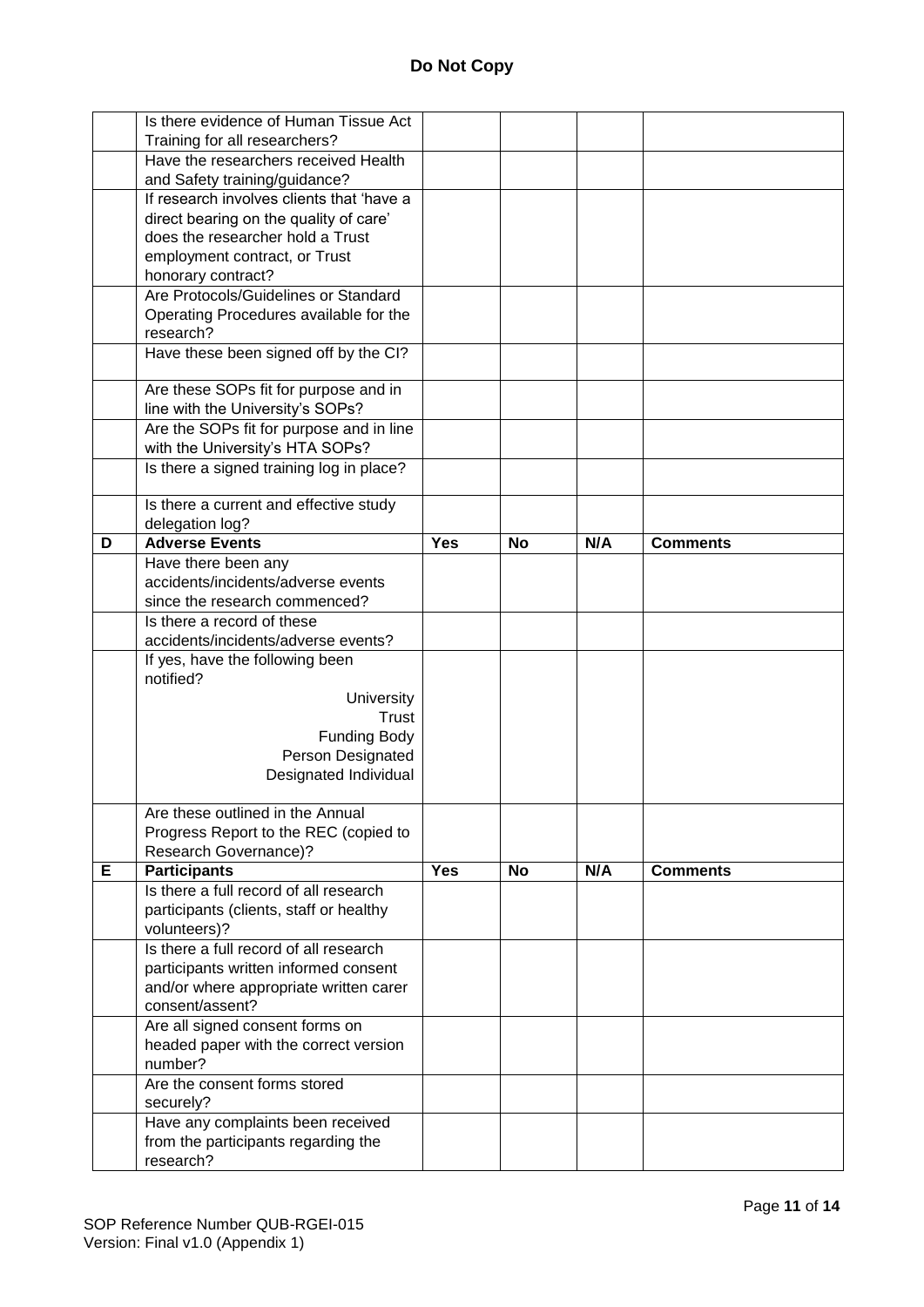|   | Is there evidence of Human Tissue Act            |            |           |     |                 |
|---|--------------------------------------------------|------------|-----------|-----|-----------------|
|   | Training for all researchers?                    |            |           |     |                 |
|   | Have the researchers received Health             |            |           |     |                 |
|   | and Safety training/guidance?                    |            |           |     |                 |
|   | If research involves clients that 'have a        |            |           |     |                 |
|   | direct bearing on the quality of care'           |            |           |     |                 |
|   | does the researcher hold a Trust                 |            |           |     |                 |
|   | employment contract, or Trust                    |            |           |     |                 |
|   | honorary contract?                               |            |           |     |                 |
|   | Are Protocols/Guidelines or Standard             |            |           |     |                 |
|   | Operating Procedures available for the           |            |           |     |                 |
|   | research?                                        |            |           |     |                 |
|   | Have these been signed off by the CI?            |            |           |     |                 |
|   |                                                  |            |           |     |                 |
|   | Are these SOPs fit for purpose and in            |            |           |     |                 |
|   | line with the University's SOPs?                 |            |           |     |                 |
|   | Are the SOPs fit for purpose and in line         |            |           |     |                 |
|   | with the University's HTA SOPs?                  |            |           |     |                 |
|   | Is there a signed training log in place?         |            |           |     |                 |
|   | Is there a current and effective study           |            |           |     |                 |
|   | delegation log?                                  |            |           |     |                 |
| D | <b>Adverse Events</b>                            | <b>Yes</b> | <b>No</b> | N/A | <b>Comments</b> |
|   | Have there been any                              |            |           |     |                 |
|   | accidents/incidents/adverse events               |            |           |     |                 |
|   | since the research commenced?                    |            |           |     |                 |
|   | Is there a record of these                       |            |           |     |                 |
|   | accidents/incidents/adverse events?              |            |           |     |                 |
|   | If yes, have the following been                  |            |           |     |                 |
|   | notified?                                        |            |           |     |                 |
|   | University                                       |            |           |     |                 |
|   | Trust                                            |            |           |     |                 |
|   | <b>Funding Body</b>                              |            |           |     |                 |
|   | Person Designated                                |            |           |     |                 |
|   | Designated Individual                            |            |           |     |                 |
|   |                                                  |            |           |     |                 |
|   | Are these outlined in the Annual                 |            |           |     |                 |
|   | Progress Report to the REC (copied to            |            |           |     |                 |
|   | Research Governance)?                            |            |           |     |                 |
| Е | <b>Participants</b>                              | <b>Yes</b> | <b>No</b> | N/A | <b>Comments</b> |
|   | Is there a full record of all research           |            |           |     |                 |
|   | participants (clients, staff or healthy          |            |           |     |                 |
|   | volunteers)?                                     |            |           |     |                 |
|   | Is there a full record of all research           |            |           |     |                 |
|   | participants written informed consent            |            |           |     |                 |
|   | and/or where appropriate written carer           |            |           |     |                 |
|   | consent/assent?                                  |            |           |     |                 |
|   | Are all signed consent forms on                  |            |           |     |                 |
|   | headed paper with the correct version            |            |           |     |                 |
|   | number?                                          |            |           |     |                 |
|   | Are the consent forms stored                     |            |           |     |                 |
|   | securely?                                        |            |           |     |                 |
|   | Have any complaints been received                |            |           |     |                 |
|   | from the participants regarding the<br>research? |            |           |     |                 |
|   |                                                  |            |           |     |                 |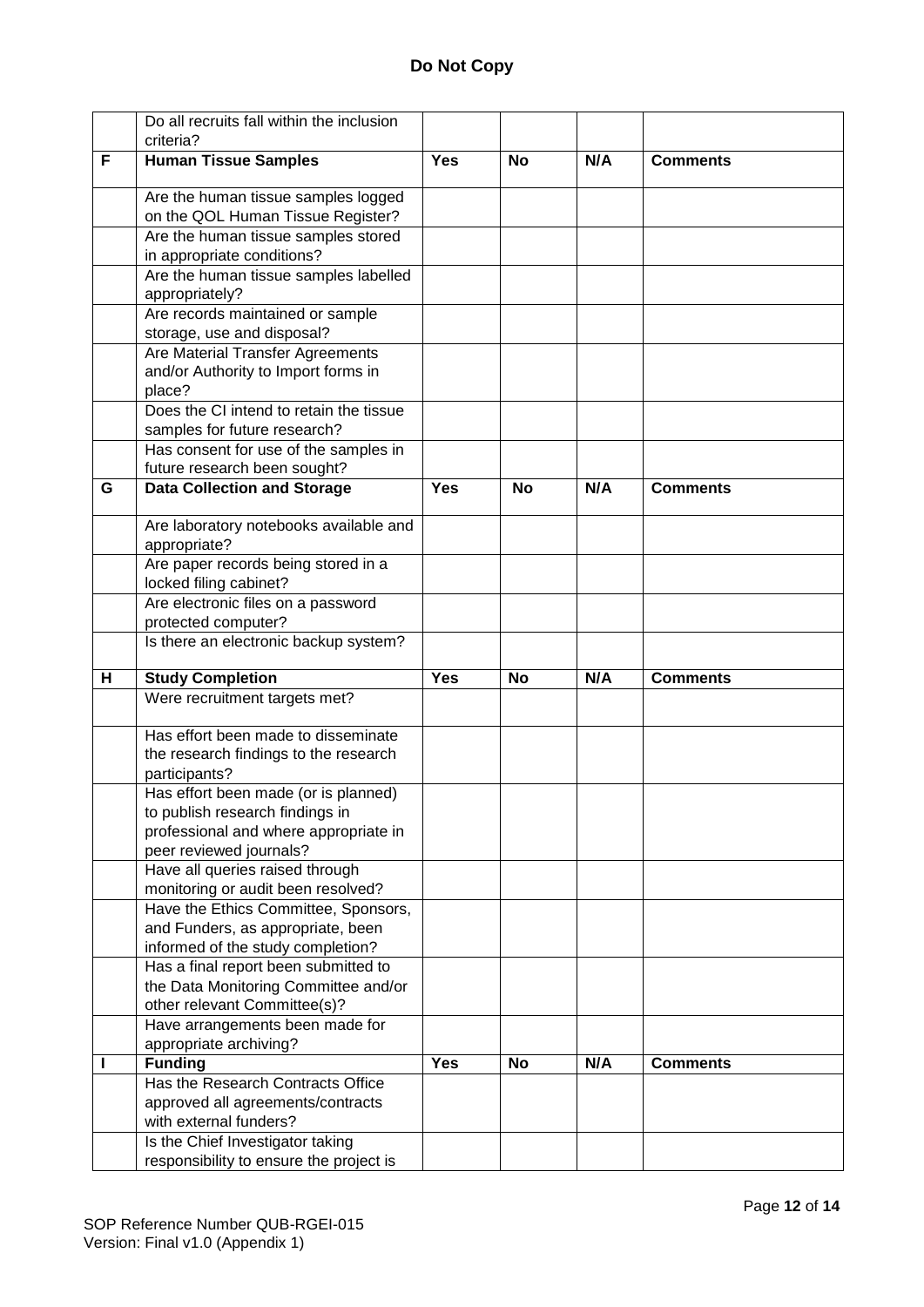|   | Do all recruits fall within the inclusion                               |            |           |     |                 |
|---|-------------------------------------------------------------------------|------------|-----------|-----|-----------------|
|   | criteria?                                                               |            |           |     |                 |
| F | <b>Human Tissue Samples</b>                                             | <b>Yes</b> | No        | N/A | <b>Comments</b> |
|   | Are the human tissue samples logged                                     |            |           |     |                 |
|   | on the QOL Human Tissue Register?                                       |            |           |     |                 |
|   | Are the human tissue samples stored                                     |            |           |     |                 |
|   | in appropriate conditions?                                              |            |           |     |                 |
|   | Are the human tissue samples labelled<br>appropriately?                 |            |           |     |                 |
|   | Are records maintained or sample                                        |            |           |     |                 |
|   | storage, use and disposal?                                              |            |           |     |                 |
|   | Are Material Transfer Agreements                                        |            |           |     |                 |
|   | and/or Authority to Import forms in                                     |            |           |     |                 |
|   | place?                                                                  |            |           |     |                 |
|   | Does the CI intend to retain the tissue<br>samples for future research? |            |           |     |                 |
|   | Has consent for use of the samples in                                   |            |           |     |                 |
|   | future research been sought?                                            |            |           |     |                 |
| G | <b>Data Collection and Storage</b>                                      | <b>Yes</b> | <b>No</b> | N/A | <b>Comments</b> |
|   | Are laboratory notebooks available and                                  |            |           |     |                 |
|   | appropriate?<br>Are paper records being stored in a                     |            |           |     |                 |
|   | locked filing cabinet?                                                  |            |           |     |                 |
|   | Are electronic files on a password                                      |            |           |     |                 |
|   | protected computer?                                                     |            |           |     |                 |
|   | Is there an electronic backup system?                                   |            |           |     |                 |
| н | <b>Study Completion</b>                                                 | <b>Yes</b> | <b>No</b> | N/A | <b>Comments</b> |
|   | Were recruitment targets met?                                           |            |           |     |                 |
|   | Has effort been made to disseminate                                     |            |           |     |                 |
|   | the research findings to the research                                   |            |           |     |                 |
|   | participants?                                                           |            |           |     |                 |
|   | Has effort been made (or is planned)                                    |            |           |     |                 |
|   | to publish research findings in                                         |            |           |     |                 |
|   | professional and where appropriate in                                   |            |           |     |                 |
|   | peer reviewed journals?                                                 |            |           |     |                 |
|   | Have all queries raised through                                         |            |           |     |                 |
|   | monitoring or audit been resolved?                                      |            |           |     |                 |
|   | Have the Ethics Committee, Sponsors,                                    |            |           |     |                 |
|   | and Funders, as appropriate, been<br>informed of the study completion?  |            |           |     |                 |
|   | Has a final report been submitted to                                    |            |           |     |                 |
|   | the Data Monitoring Committee and/or                                    |            |           |     |                 |
|   | other relevant Committee(s)?                                            |            |           |     |                 |
|   | Have arrangements been made for                                         |            |           |     |                 |
|   | appropriate archiving?                                                  |            |           |     |                 |
|   | <b>Funding</b>                                                          | <b>Yes</b> | <b>No</b> | N/A | <b>Comments</b> |
|   | Has the Research Contracts Office                                       |            |           |     |                 |
|   | approved all agreements/contracts                                       |            |           |     |                 |
|   | with external funders?                                                  |            |           |     |                 |
|   | Is the Chief Investigator taking                                        |            |           |     |                 |
|   | responsibility to ensure the project is                                 |            |           |     |                 |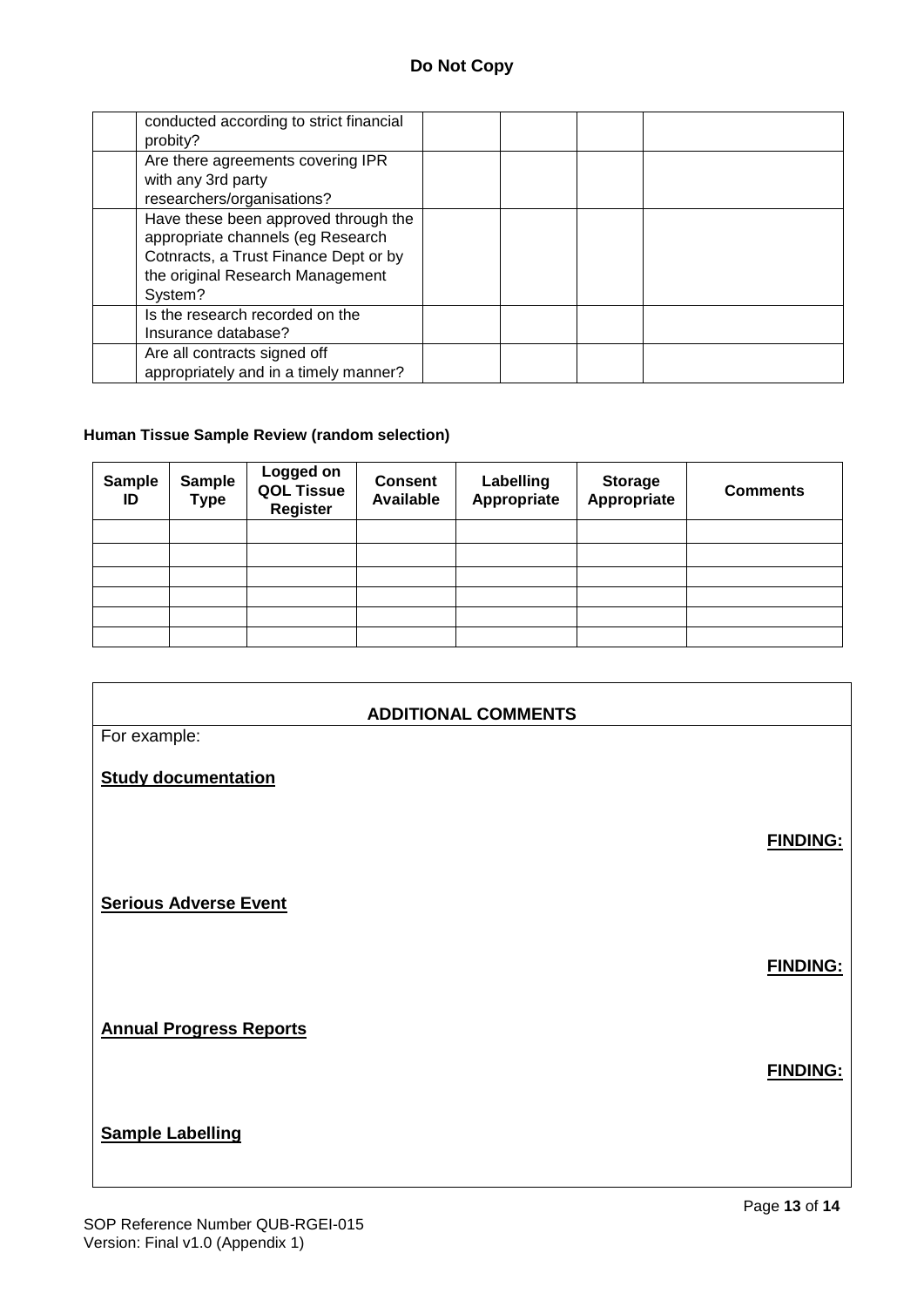| conducted according to strict financial<br>probity?                                                                                                               |  |  |
|-------------------------------------------------------------------------------------------------------------------------------------------------------------------|--|--|
| Are there agreements covering IPR<br>with any 3rd party<br>researchers/organisations?                                                                             |  |  |
| Have these been approved through the<br>appropriate channels (eg Research<br>Cotnracts, a Trust Finance Dept or by<br>the original Research Management<br>System? |  |  |
| Is the research recorded on the<br>Insurance database?                                                                                                            |  |  |
| Are all contracts signed off<br>appropriately and in a timely manner?                                                                                             |  |  |

#### **Human Tissue Sample Review (random selection)**

| <b>Sample</b><br>ID | <b>Sample</b><br><b>Type</b> | Logged on<br><b>QOL Tissue</b><br><b>Register</b> | <b>Consent</b><br><b>Available</b> | Labelling<br>Appropriate | <b>Storage</b><br>Appropriate | <b>Comments</b> |
|---------------------|------------------------------|---------------------------------------------------|------------------------------------|--------------------------|-------------------------------|-----------------|
|                     |                              |                                                   |                                    |                          |                               |                 |
|                     |                              |                                                   |                                    |                          |                               |                 |
|                     |                              |                                                   |                                    |                          |                               |                 |
|                     |                              |                                                   |                                    |                          |                               |                 |
|                     |                              |                                                   |                                    |                          |                               |                 |
|                     |                              |                                                   |                                    |                          |                               |                 |

|                                | <b>ADDITIONAL COMMENTS</b> |
|--------------------------------|----------------------------|
| For example:                   |                            |
| <b>Study documentation</b>     |                            |
| <b>Serious Adverse Event</b>   | <b>FINDING:</b>            |
|                                |                            |
|                                | <b>FINDING:</b>            |
| <b>Annual Progress Reports</b> |                            |
|                                | <b>FINDING:</b>            |
| <b>Sample Labelling</b>        |                            |
|                                | Page 13 of 14              |